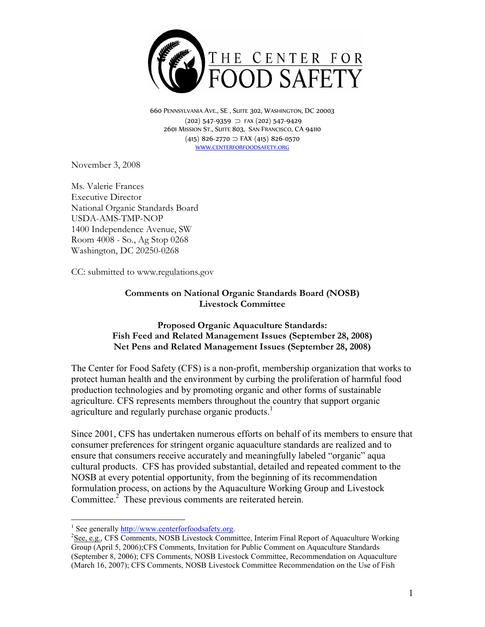

660 PENNSYLVANIA AVE., SE , SUITE 302, WASHINGTON, DC 20003 (202) 547-9359 ⊃ FAX (202) 547-9429 2601 MISSION ST., SUITE 803, SAN FRANCISCO, CA 94110 (415) 826-2770 ⊃ FAX (415) 826-0570 WWW.CENTERFORFOODSAFETY.ORG

November 3, 2008

Ms. Valerie Frances Executive Director National Organic Standards Board USDA-AMS-TMP-NOP 1400 Independence Avenue, SW Room 4008 - So., Ag Stop 0268 Washington, DC 20250-0268

CC: submitted to www.regulations.gov

### **Comments on National Organic Standards Board (NOSB) Livestock Committee**

#### **Proposed Organic Aquaculture Standards: Fish Feed and Related Management Issues (September 28, 2008) Net Pens and Related Management Issues (September 28, 2008)**

The Center for Food Safety (CFS) is a non-profit, membership organization that works to protect human health and the environment by curbing the proliferation of harmful food production technologies and by promoting organic and other forms of sustainable agriculture. CFS represents members throughout the country that support organic agriculture and regularly purchase organic products.<sup>1</sup>

Since 2001, CFS has undertaken numerous efforts on behalf of its members to ensure that consumer preferences for stringent organic aquaculture standards are realized and to ensure that consumers receive accurately and meaningfully labeled "organic" aqua cultural products. CFS has provided substantial, detailed and repeated comment to the NOSB at every potential opportunity, from the beginning of its recommendation formulation process, on actions by the Aquaculture Working Group and Livestock Committee.<sup>2</sup> These previous comments are reiterated herein.

<sup>1&</sup>lt;br><sup>1</sup> See generally <u>http://www.centerforfoodsafety.org</u>.

<sup>&</sup>lt;sup>2</sup>See, e.g., CFS Comments, NOSB Livestock Committee, Interim Final Report of Aquaculture Working Group (April 5, 2006);CFS Comments, Invitation for Public Comment on Aquaculture Standards (September 8, 2006); CFS Comments, NOSB Livestock Committee, Recommendation on Aquaculture (March 16, 2007); CFS Comments, NOSB Livestock Committee Recommendation on the Use of Fish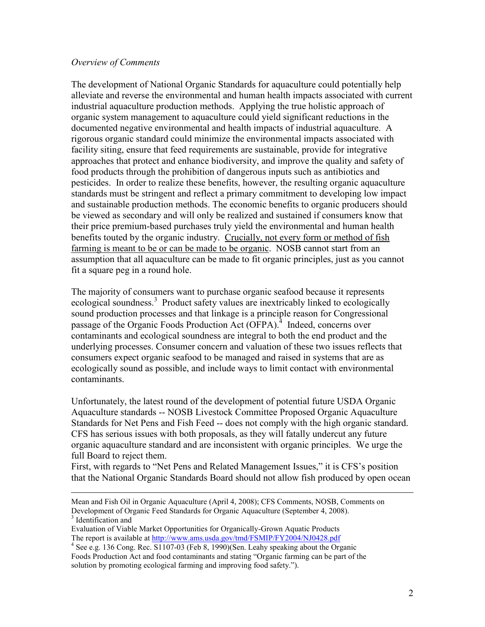#### *Overview of Comments*

 $\overline{a}$ 

The development of National Organic Standards for aquaculture could potentially help alleviate and reverse the environmental and human health impacts associated with current industrial aquaculture production methods. Applying the true holistic approach of organic system management to aquaculture could yield significant reductions in the documented negative environmental and health impacts of industrial aquaculture. A rigorous organic standard could minimize the environmental impacts associated with facility siting, ensure that feed requirements are sustainable, provide for integrative approaches that protect and enhance biodiversity, and improve the quality and safety of food products through the prohibition of dangerous inputs such as antibiotics and pesticides. In order to realize these benefits, however, the resulting organic aquaculture standards must be stringent and reflect a primary commitment to developing low impact and sustainable production methods. The economic benefits to organic producers should be viewed as secondary and will only be realized and sustained if consumers know that their price premium-based purchases truly yield the environmental and human health benefits touted by the organic industry. Crucially, not every form or method of fish farming is meant to be or can be made to be organic. NOSB cannot start from an assumption that all aquaculture can be made to fit organic principles, just as you cannot fit a square peg in a round hole.

The majority of consumers want to purchase organic seafood because it represents ecological soundness.<sup>3</sup> Product safety values are inextricably linked to ecologically sound production processes and that linkage is a principle reason for Congressional passage of the Organic Foods Production Act (OFPA).<sup>4</sup> Indeed, concerns over contaminants and ecological soundness are integral to both the end product and the underlying processes. Consumer concern and valuation of these two issues reflects that consumers expect organic seafood to be managed and raised in systems that are as ecologically sound as possible, and include ways to limit contact with environmental contaminants.

Unfortunately, the latest round of the development of potential future USDA Organic Aquaculture standards -- NOSB Livestock Committee Proposed Organic Aquaculture Standards for Net Pens and Fish Feed -- does not comply with the high organic standard. CFS has serious issues with both proposals, as they will fatally undercut any future organic aquaculture standard and are inconsistent with organic principles. We urge the full Board to reject them.

First, with regards to "Net Pens and Related Management Issues," it is CFS's position that the National Organic Standards Board should not allow fish produced by open ocean

Mean and Fish Oil in Organic Aquaculture (April 4, 2008); CFS Comments, NOSB, Comments on Development of Organic Feed Standards for Organic Aquaculture (September 4, 2008). <sup>3</sup> Identification and

Evaluation of Viable Market Opportunities for Organically-Grown Aquatic Products The report is available at http://www.ams.usda.gov/tmd/FSMIP/FY2004/NJ0428.pdf

<sup>&</sup>lt;sup>4</sup> See e.g. 136 Cong. Rec. S1107-03 (Feb 8, 1990)(Sen. Leahy speaking about the Organic Foods Production Act and food contaminants and stating "Organic farming can be part of the solution by promoting ecological farming and improving food safety.").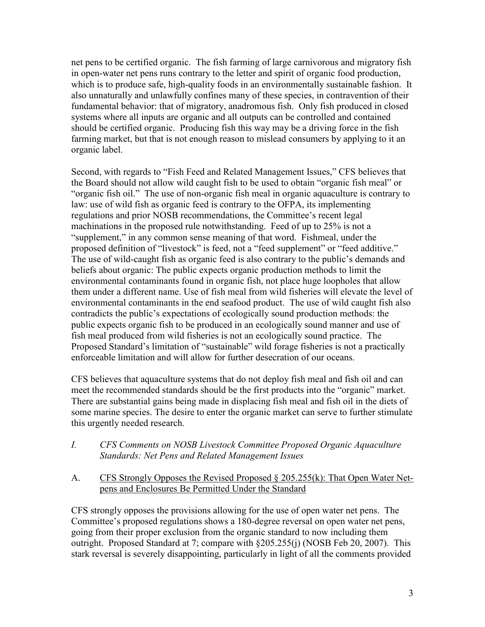net pens to be certified organic. The fish farming of large carnivorous and migratory fish in open-water net pens runs contrary to the letter and spirit of organic food production, which is to produce safe, high-quality foods in an environmentally sustainable fashion. It also unnaturally and unlawfully confines many of these species, in contravention of their fundamental behavior: that of migratory, anadromous fish. Only fish produced in closed systems where all inputs are organic and all outputs can be controlled and contained should be certified organic. Producing fish this way may be a driving force in the fish farming market, but that is not enough reason to mislead consumers by applying to it an organic label.

Second, with regards to "Fish Feed and Related Management Issues," CFS believes that the Board should not allow wild caught fish to be used to obtain "organic fish meal" or "organic fish oil." The use of non-organic fish meal in organic aquaculture is contrary to law: use of wild fish as organic feed is contrary to the OFPA, its implementing regulations and prior NOSB recommendations, the Committee's recent legal machinations in the proposed rule notwithstanding. Feed of up to 25% is not a "supplement," in any common sense meaning of that word. Fishmeal, under the proposed definition of "livestock" is feed, not a "feed supplement" or "feed additive." The use of wild-caught fish as organic feed is also contrary to the public's demands and beliefs about organic: The public expects organic production methods to limit the environmental contaminants found in organic fish, not place huge loopholes that allow them under a different name. Use of fish meal from wild fisheries will elevate the level of environmental contaminants in the end seafood product. The use of wild caught fish also contradicts the public's expectations of ecologically sound production methods: the public expects organic fish to be produced in an ecologically sound manner and use of fish meal produced from wild fisheries is not an ecologically sound practice. The Proposed Standard's limitation of "sustainable" wild forage fisheries is not a practically enforceable limitation and will allow for further desecration of our oceans.

CFS believes that aquaculture systems that do not deploy fish meal and fish oil and can meet the recommended standards should be the first products into the "organic" market. There are substantial gains being made in displacing fish meal and fish oil in the diets of some marine species. The desire to enter the organic market can serve to further stimulate this urgently needed research.

- *I. CFS Comments on OSB Livestock Committee Proposed Organic Aquaculture Standards: Net Pens and Related Management Issues*
- A. CFS Strongly Opposes the Revised Proposed § 205.255(k): That Open Water Net pens and Enclosures Be Permitted Under the Standard

CFS strongly opposes the provisions allowing for the use of open water net pens. The Committee's proposed regulations shows a 180-degree reversal on open water net pens, going from their proper exclusion from the organic standard to now including them outright. Proposed Standard at 7; compare with §205.255(j) (NOSB Feb 20, 2007). This stark reversal is severely disappointing, particularly in light of all the comments provided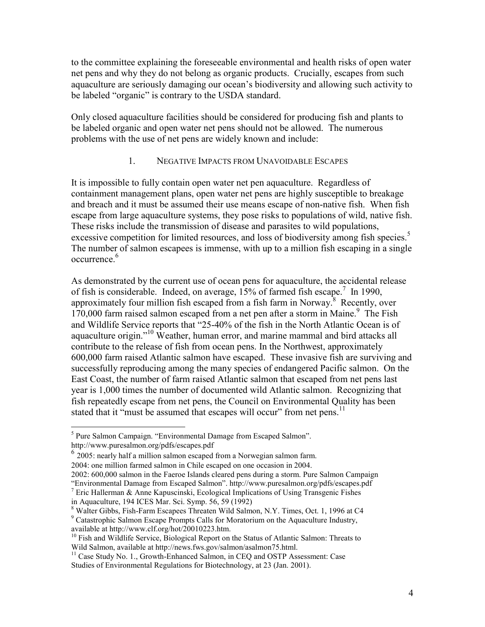to the committee explaining the foreseeable environmental and health risks of open water net pens and why they do not belong as organic products. Crucially, escapes from such aquaculture are seriously damaging our ocean's biodiversity and allowing such activity to be labeled "organic" is contrary to the USDA standard.

Only closed aquaculture facilities should be considered for producing fish and plants to be labeled organic and open water net pens should not be allowed. The numerous problems with the use of net pens are widely known and include:

### 1. NEGATIVE IMPACTS FROM UNAVOIDABLE ESCAPES

It is impossible to fully contain open water net pen aquaculture. Regardless of containment management plans, open water net pens are highly susceptible to breakage and breach and it must be assumed their use means escape of non-native fish. When fish escape from large aquaculture systems, they pose risks to populations of wild, native fish. These risks include the transmission of disease and parasites to wild populations, excessive competition for limited resources, and loss of biodiversity among fish species.<sup>5</sup> The number of salmon escapees is immense, with up to a million fish escaping in a single occurrence.<sup>6</sup>

As demonstrated by the current use of ocean pens for aquaculture, the accidental release of fish is considerable. Indeed, on average,  $15%$  of farmed fish escape.<sup>7</sup> In 1990, approximately four million fish escaped from a fish farm in Norway.<sup>8</sup> Recently, over 170,000 farm raised salmon escaped from a net pen after a storm in Maine.<sup>9</sup> The Fish and Wildlife Service reports that "25-40% of the fish in the North Atlantic Ocean is of aquaculture origin."<sup>10</sup> Weather, human error, and marine mammal and bird attacks all contribute to the release of fish from ocean pens. In the Northwest, approximately 600,000 farm raised Atlantic salmon have escaped. These invasive fish are surviving and successfully reproducing among the many species of endangered Pacific salmon. On the East Coast, the number of farm raised Atlantic salmon that escaped from net pens last year is 1,000 times the number of documented wild Atlantic salmon. Recognizing that fish repeatedly escape from net pens, the Council on Environmental Quality has been stated that it "must be assumed that escapes will occur" from net pens.<sup>11</sup>

<sup>6</sup> 2005: nearly half a million salmon escaped from a Norwegian salmon farm. 2004: one million farmed salmon in Chile escaped on one occasion in 2004.

<sup>7</sup> Eric Hallerman & Anne Kapuscinski, Ecological Implications of Using Transgenic Fishes in Aquaculture, 194 ICES Mar. Sci. Symp. 56, 59 (1992)

<sup>9</sup> Catastrophic Salmon Escape Prompts Calls for Moratorium on the Aquaculture Industry, available at http://www.clf.org/hot/20010223.htm.

 5 Pure Salmon Campaign. "Environmental Damage from Escaped Salmon". http://www.puresalmon.org/pdfs/escapes.pdf

<sup>2002: 600,000</sup> salmon in the Faeroe Islands cleared pens during a storm. Pure Salmon Campaign

<sup>&</sup>quot;Environmental Damage from Escaped Salmon". http://www.puresalmon.org/pdfs/escapes.pdf

<sup>8</sup> Walter Gibbs, Fish-Farm Escapees Threaten Wild Salmon, N.Y. Times, Oct. 1, 1996 at C4

<sup>&</sup>lt;sup>10</sup> Fish and Wildlife Service, Biological Report on the Status of Atlantic Salmon: Threats to Wild Salmon, available at http://news.fws.gov/salmon/asalmon75.html.

<sup>&</sup>lt;sup>11</sup> Case Study No. 1., Growth-Enhanced Salmon, in CEQ and OSTP Assessment: Case Studies of Environmental Regulations for Biotechnology, at 23 (Jan. 2001).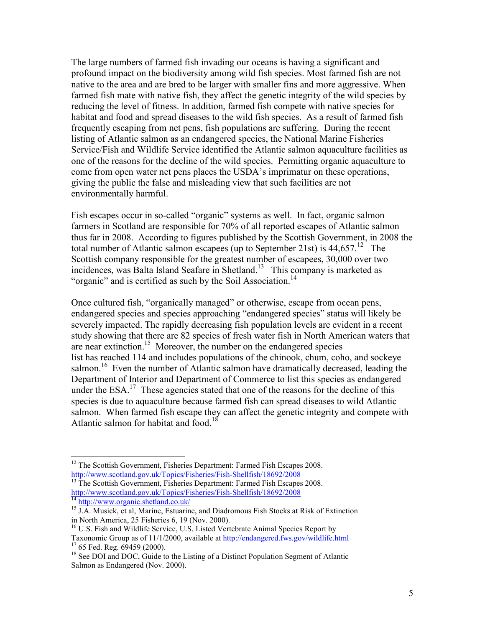The large numbers of farmed fish invading our oceans is having a significant and profound impact on the biodiversity among wild fish species. Most farmed fish are not native to the area and are bred to be larger with smaller fins and more aggressive. When farmed fish mate with native fish, they affect the genetic integrity of the wild species by reducing the level of fitness. In addition, farmed fish compete with native species for habitat and food and spread diseases to the wild fish species. As a result of farmed fish frequently escaping from net pens, fish populations are suffering. During the recent listing of Atlantic salmon as an endangered species, the National Marine Fisheries Service/Fish and Wildlife Service identified the Atlantic salmon aquaculture facilities as one of the reasons for the decline of the wild species. Permitting organic aquaculture to come from open water net pens places the USDA's imprimatur on these operations, giving the public the false and misleading view that such facilities are not environmentally harmful.

Fish escapes occur in so-called "organic" systems as well. In fact, organic salmon farmers in Scotland are responsible for 70% of all reported escapes of Atlantic salmon thus far in 2008. According to figures published by the Scottish Government, in 2008 the total number of Atlantic salmon escapees (up to September 21st) is  $44,657$ <sup>12</sup> The Scottish company responsible for the greatest number of escapees, 30,000 over two incidences, was Balta Island Seafare in Shetland.<sup>13</sup> This company is marketed as "organic" and is certified as such by the Soil Association.<sup>14</sup>

Once cultured fish, "organically managed" or otherwise, escape from ocean pens, endangered species and species approaching "endangered species" status will likely be severely impacted. The rapidly decreasing fish population levels are evident in a recent study showing that there are 82 species of fresh water fish in North American waters that are near extinction.<sup>15</sup> Moreover, the number on the endangered species list has reached 114 and includes populations of the chinook, chum, coho, and sockeye salmon.<sup>16</sup> Even the number of Atlantic salmon have dramatically decreased, leading the Department of Interior and Department of Commerce to list this species as endangered under the  $ESA<sup>17</sup>$ . These agencies stated that one of the reasons for the decline of this species is due to aquaculture because farmed fish can spread diseases to wild Atlantic salmon. When farmed fish escape they can affect the genetic integrity and compete with Atlantic salmon for habitat and food.<sup>18</sup>

<sup>-</sup><sup>12</sup> The Scottish Government, Fisheries Department: Farmed Fish Escapes 2008. http://www.scotland.gov.uk/Topics/Fisheries/Fish-Shellfish/18692/2008

<sup>&</sup>lt;sup>13</sup> The Scottish Government, Fisheries Department: Farmed Fish Escapes 2008. http://www.scotland.gov.uk/Topics/Fisheries/Fish-Shellfish/18692/2008 <sup>14</sup> http://www.organic.shetland.co.uk/

<sup>&</sup>lt;sup>15</sup> J.A. Musick, et al, Marine, Estuarine, and Diadromous Fish Stocks at Risk of Extinction in North America, 25 Fisheries 6, 19 (Nov. 2000).

<sup>&</sup>lt;sup>16</sup> U.S. Fish and Wildlife Service, U.S. Listed Vertebrate Animal Species Report by

Taxonomic Group as of 11/1/2000, available at http://endangered.fws.gov/wildlife.html  $17$  65 Fed. Reg. 69459 (2000).

<sup>&</sup>lt;sup>18</sup> See DOI and DOC, Guide to the Listing of a Distinct Population Segment of Atlantic Salmon as Endangered (Nov. 2000).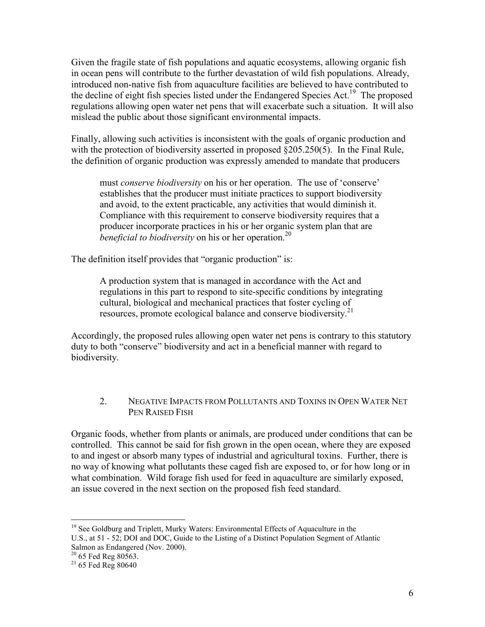Given the fragile state of fish populations and aquatic ecosystems, allowing organic fish in ocean pens will contribute to the further devastation of wild fish populations. Already, introduced non-native fish from aquaculture facilities are believed to have contributed to the decline of eight fish species listed under the Endangered Species Act.<sup>19</sup> The proposed regulations allowing open water net pens that will exacerbate such a situation. It will also mislead the public about those significant environmental impacts.

Finally, allowing such activities is inconsistent with the goals of organic production and with the protection of biodiversity asserted in proposed §205.250(5). In the Final Rule, the definition of organic production was expressly amended to mandate that producers

must *conserve biodiversity* on his or her operation. The use of 'conserve' establishes that the producer must initiate practices to support biodiversity and avoid, to the extent practicable, any activities that would diminish it. Compliance with this requirement to conserve biodiversity requires that a producer incorporate practices in his or her organic system plan that are *beneficial to biodiversity* on his or her operation.<sup>20</sup>

The definition itself provides that "organic production" is:

A production system that is managed in accordance with the Act and regulations in this part to respond to site-specific conditions by integrating cultural, biological and mechanical practices that foster cycling of resources, promote ecological balance and conserve biodiversity.<sup>21</sup>

Accordingly, the proposed rules allowing open water net pens is contrary to this statutory duty to both "conserve" biodiversity and act in a beneficial manner with regard to biodiversity.

## 2. NEGATIVE IMPACTS FROM POLLUTANTS AND TOXINS IN OPEN WATER NET PEN RAISED FISH

Organic foods, whether from plants or animals, are produced under conditions that can be controlled. This cannot be said for fish grown in the open ocean, where they are exposed to and ingest or absorb many types of industrial and agricultural toxins. Further, there is no way of knowing what pollutants these caged fish are exposed to, or for how long or in what combination. Wild forage fish used for feed in aquaculture are similarly exposed, an issue covered in the next section on the proposed fish feed standard.

<sup>-</sup><sup>19</sup> See Goldburg and Triplett, Murky Waters: Environmental Effects of Aquaculture in the U.S., at 51 - 52; DOI and DOC, Guide to the Listing of a Distinct Population Segment of Atlantic Salmon as Endangered (Nov. 2000).

 $20$  65 Fed Reg 80563.

 $21\,65$  Fed Reg 80640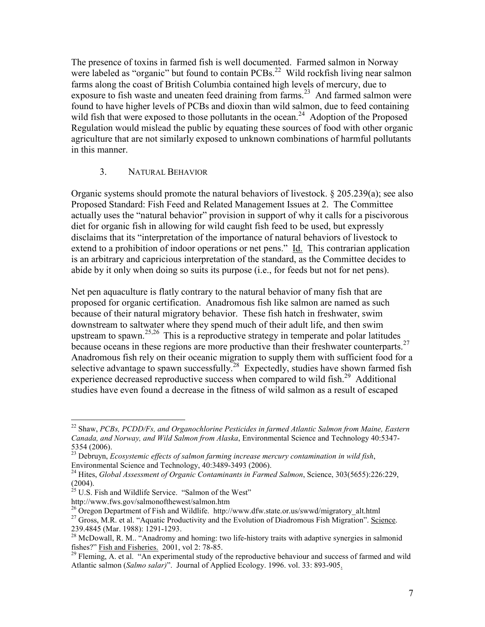The presence of toxins in farmed fish is well documented. Farmed salmon in Norway were labeled as "organic" but found to contain PCBs.<sup>22</sup> Wild rockfish living near salmon farms along the coast of British Columbia contained high levels of mercury, due to exposure to fish waste and uneaten feed draining from farms.<sup>23</sup> And farmed salmon were found to have higher levels of PCBs and dioxin than wild salmon, due to feed containing wild fish that were exposed to those pollutants in the ocean.<sup>24</sup> Adoption of the Proposed Regulation would mislead the public by equating these sources of food with other organic agriculture that are not similarly exposed to unknown combinations of harmful pollutants in this manner.

### 3. NATURAL BEHAVIOR

Organic systems should promote the natural behaviors of livestock. § 205.239(a); see also Proposed Standard: Fish Feed and Related Management Issues at 2. The Committee actually uses the "natural behavior" provision in support of why it calls for a piscivorous diet for organic fish in allowing for wild caught fish feed to be used, but expressly disclaims that its "interpretation of the importance of natural behaviors of livestock to extend to a prohibition of indoor operations or net pens." Id. This contrarian application is an arbitrary and capricious interpretation of the standard, as the Committee decides to abide by it only when doing so suits its purpose (i.e., for feeds but not for net pens).

Net pen aquaculture is flatly contrary to the natural behavior of many fish that are proposed for organic certification. Anadromous fish like salmon are named as such because of their natural migratory behavior. These fish hatch in freshwater, swim downstream to saltwater where they spend much of their adult life, and then swim upstream to spawn.<sup>25,26</sup> This is a reproductive strategy in temperate and polar latitudes because oceans in these regions are more productive than their freshwater counterparts.<sup>27</sup> Anadromous fish rely on their oceanic migration to supply them with sufficient food for a selective advantage to spawn successfully.<sup>28</sup> Expectedly, studies have shown farmed fish experience decreased reproductive success when compared to wild fish.<sup>29</sup> Additional studies have even found a decrease in the fitness of wild salmon as a result of escaped

-

<sup>22</sup> Shaw, *PCBs, PCDD/Fs, and Organochlorine Pesticides in farmed Atlantic Salmon from Maine, Eastern*  Canada, and Norway, and Wild Salmon from Alaska, Environmental Science and Technology 40:5347-5354 (2006).

<sup>23</sup> Debruyn, *Ecosystemic effects of salmon farming increase mercury contamination in wild fish*, Environmental Science and Technology, 40:3489-3493 (2006).

<sup>24</sup> Hites, *Global Assessment of Organic Contaminants in Farmed Salmon*, Science, 303(5655):226:229, (2004).

 $^{25}$  U.S. Fish and Wildlife Service. "Salmon of the West"

http://www.fws.gov/salmonofthewest/salmon.htm

 $^{26}$  Oregon Department of Fish and Wildlife. http://www.dfw.state.or.us/swwd/migratory\_alt.html

<sup>&</sup>lt;sup>27</sup> Gross, M.R. et al. "Aquatic Productivity and the Evolution of Diadromous Fish Migration". Science. 239.4845 (Mar. 1988): 1291-1293.

<sup>&</sup>lt;sup>28</sup> McDowall, R. M.. "Anadromy and homing: two life-history traits with adaptive synergies in salmonid fishes?" Fish and Fisheries. 2001, vol 2: 78-85.

 $29$  Fleming, A. et al. "An experimental study of the reproductive behaviour and success of farmed and wild Atlantic salmon (*Salmo salar)*". Journal of Applied Ecology. 1996. vol. 33: 893-905.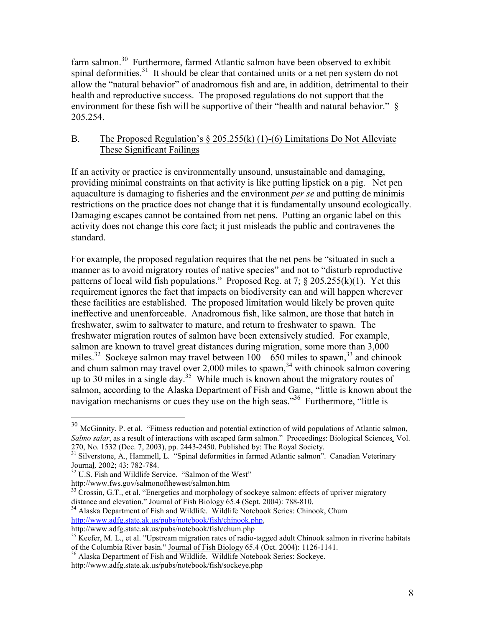farm salmon.<sup>30</sup> Furthermore, farmed Atlantic salmon have been observed to exhibit spinal deformities.<sup>31</sup> It should be clear that contained units or a net pen system do not allow the "natural behavior" of anadromous fish and are, in addition, detrimental to their health and reproductive success. The proposed regulations do not support that the environment for these fish will be supportive of their "health and natural behavior." § 205.254.

## B. The Proposed Regulation's  $\S 205.255(k) (1)-(6)$  Limitations Do Not Alleviate These Significant Failings

If an activity or practice is environmentally unsound, unsustainable and damaging, providing minimal constraints on that activity is like putting lipstick on a pig. Net pen aquaculture is damaging to fisheries and the environment *per se* and putting de minimis restrictions on the practice does not change that it is fundamentally unsound ecologically. Damaging escapes cannot be contained from net pens. Putting an organic label on this activity does not change this core fact; it just misleads the public and contravenes the standard.

For example, the proposed regulation requires that the net pens be "situated in such a manner as to avoid migratory routes of native species" and not to "disturb reproductive patterns of local wild fish populations." Proposed Reg. at 7;  $\S 205.255(k)(1)$ . Yet this requirement ignores the fact that impacts on biodiversity can and will happen wherever these facilities are established. The proposed limitation would likely be proven quite ineffective and unenforceable. Anadromous fish, like salmon, are those that hatch in freshwater, swim to saltwater to mature, and return to freshwater to spawn. The freshwater migration routes of salmon have been extensively studied. For example, salmon are known to travel great distances during migration, some more than 3,000 miles.<sup>32</sup> Sockeye salmon may travel between  $100 - 650$  miles to spawn,<sup>33</sup> and chinook and chum salmon may travel over  $2,000$  miles to spawn,<sup>34</sup> with chinook salmon covering up to 30 miles in a single day.<sup>35</sup> While much is known about the migratory routes of salmon, according to the Alaska Department of Fish and Game, "little is known about the navigation mechanisms or cues they use on the high seas."<sup>36</sup> Furthermore, "little is

<u>.</u>

<sup>34</sup> Alaska Department of Fish and Wildlife. Wildlife Notebook Series: Chinook, Chum http://www.adfg.state.ak.us/pubs/notebook/fish/chinook.php,

<sup>&</sup>lt;sup>30</sup> McGinnity, P. et al. "Fitness reduction and potential extinction of wild populations of Atlantic salmon, *Salmo salar*, as a result of interactions with escaped farm salmon." Proceedings: Biological Sciences*,* Vol. 270, No. 1532 (Dec. 7, 2003), pp. 2443-2450. Published by: The Royal Society.

<sup>&</sup>lt;sup>31</sup> Silverstone, A., Hammell, L. "Spinal deformities in farmed Atlantic salmon". Canadian Veterinary Journal. 2002; 43: 782-784.

<sup>&</sup>lt;sup>32</sup> U.S. Fish and Wildlife Service. "Salmon of the West"

http://www.fws.gov/salmonofthewest/salmon.htm

<sup>&</sup>lt;sup>33</sup> Crossin, G.T., et al. "Energetics and morphology of sockeye salmon: effects of upriver migratory distance and elevation." Journal of Fish Biology 65.4 (Sept. 2004): 788-810.

http://www.adfg.state.ak.us/pubs/notebook/fish/chum.php

 $35$  Keefer, M. L., et al. "Upstream migration rates of radio-tagged adult Chinook salmon in riverine habitats of the Columbia River basin." Journal of Fish Biology 65.4 (Oct. 2004): 1126-1141.

<sup>&</sup>lt;sup>36</sup> Alaska Department of Fish and Wildlife. Wildlife Notebook Series: Sockeye.

http://www.adfg.state.ak.us/pubs/notebook/fish/sockeye.php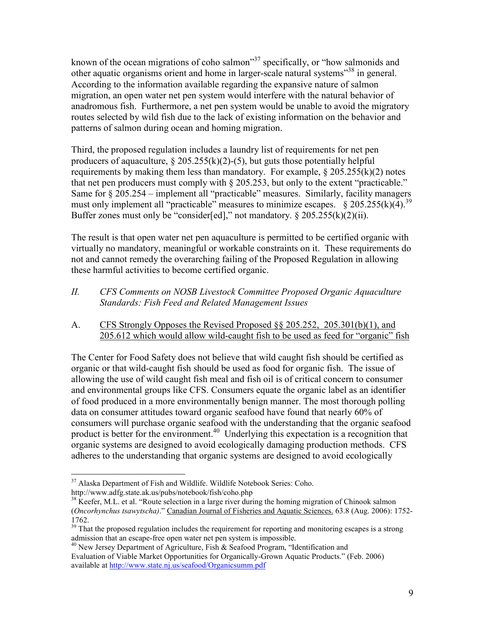known of the ocean migrations of coho salmon<sup>37</sup> specifically, or "how salmonids and other aquatic organisms orient and home in larger-scale natural systems"<sup>38</sup> in general. According to the information available regarding the expansive nature of salmon migration, an open water net pen system would interfere with the natural behavior of anadromous fish. Furthermore, a net pen system would be unable to avoid the migratory routes selected by wild fish due to the lack of existing information on the behavior and patterns of salmon during ocean and homing migration.

Third, the proposed regulation includes a laundry list of requirements for net pen producers of aquaculture,  $\S 205.255(k)(2)-(5)$ , but guts those potentially helpful requirements by making them less than mandatory. For example,  $\S 205.255(k)(2)$  notes that net pen producers must comply with § 205.253, but only to the extent "practicable." Same for § 205.254 – implement all "practicable" measures. Similarly, facility managers must only implement all "practicable" measures to minimize escapes.  $§ 205.255(k)(4).^{39}$ Buffer zones must only be "consider[ed]," not mandatory.  $\S 205.255(k)(2)(ii)$ .

The result is that open water net pen aquaculture is permitted to be certified organic with virtually no mandatory, meaningful or workable constraints on it. These requirements do not and cannot remedy the overarching failing of the Proposed Regulation in allowing these harmful activities to become certified organic.

- *II. CFS Comments on OSB Livestock Committee Proposed Organic Aquaculture Standards: Fish Feed and Related Management Issues*
- A. CFS Strongly Opposes the Revised Proposed §§ 205.252, 205.301(b)(1), and 205.612 which would allow wild-caught fish to be used as feed for "organic" fish

The Center for Food Safety does not believe that wild caught fish should be certified as organic or that wild-caught fish should be used as food for organic fish. The issue of allowing the use of wild caught fish meal and fish oil is of critical concern to consumer and environmental groups like CFS. Consumers equate the organic label as an identifier of food produced in a more environmentally benign manner. The most thorough polling data on consumer attitudes toward organic seafood have found that nearly 60% of consumers will purchase organic seafood with the understanding that the organic seafood product is better for the environment.<sup>40</sup> Underlying this expectation is a recognition that organic systems are designed to avoid ecologically damaging production methods. CFS adheres to the understanding that organic systems are designed to avoid ecologically

<sup>-</sup><sup>37</sup> Alaska Department of Fish and Wildlife. Wildlife Notebook Series: Coho. http://www.adfg.state.ak.us/pubs/notebook/fish/coho.php

<sup>&</sup>lt;sup>38</sup> Keefer, M.L. et al. "Route selection in a large river during the homing migration of Chinook salmon (*Oncorhynchus tsawytscha)*." Canadian Journal of Fisheries and Aquatic Sciences. 63.8 (Aug. 2006): 1752- 1762.

<sup>&</sup>lt;sup>39</sup> That the proposed regulation includes the requirement for reporting and monitoring escapes is a strong admission that an escape-free open water net pen system is impossible.

<sup>&</sup>lt;sup>40</sup> New Jersey Department of Agriculture, Fish & Seafood Program, "Identification and Evaluation of Viable Market Opportunities for Organically-Grown Aquatic Products." (Feb. 2006) available at http://www.state.nj.us/seafood/Organicsumm.pdf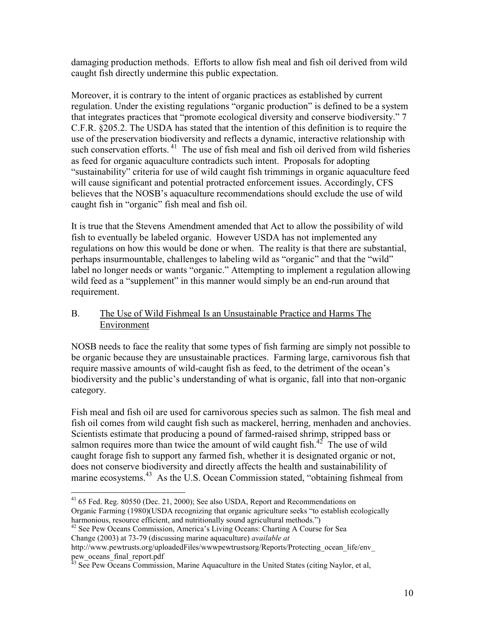damaging production methods. Efforts to allow fish meal and fish oil derived from wild caught fish directly undermine this public expectation.

Moreover, it is contrary to the intent of organic practices as established by current regulation. Under the existing regulations "organic production" is defined to be a system that integrates practices that "promote ecological diversity and conserve biodiversity." 7 C.F.R. §205.2. The USDA has stated that the intention of this definition is to require the use of the preservation biodiversity and reflects a dynamic, interactive relationship with such conservation efforts.<sup>41</sup> The use of fish meal and fish oil derived from wild fisheries as feed for organic aquaculture contradicts such intent. Proposals for adopting "sustainability" criteria for use of wild caught fish trimmings in organic aquaculture feed will cause significant and potential protracted enforcement issues. Accordingly, CFS believes that the NOSB's aquaculture recommendations should exclude the use of wild caught fish in "organic" fish meal and fish oil.

It is true that the Stevens Amendment amended that Act to allow the possibility of wild fish to eventually be labeled organic. However USDA has not implemented any regulations on how this would be done or when. The reality is that there are substantial, perhaps insurmountable, challenges to labeling wild as "organic" and that the "wild" label no longer needs or wants "organic." Attempting to implement a regulation allowing wild feed as a "supplement" in this manner would simply be an end-run around that requirement.

# B. The Use of Wild Fishmeal Is an Unsustainable Practice and Harms The Environment

NOSB needs to face the reality that some types of fish farming are simply not possible to be organic because they are unsustainable practices. Farming large, carnivorous fish that require massive amounts of wild-caught fish as feed, to the detriment of the ocean's biodiversity and the public's understanding of what is organic, fall into that non-organic category.

Fish meal and fish oil are used for carnivorous species such as salmon. The fish meal and fish oil comes from wild caught fish such as mackerel, herring, menhaden and anchovies. Scientists estimate that producing a pound of farmed-raised shrimp, stripped bass or salmon requires more than twice the amount of wild caught fish.<sup>42</sup> The use of wild caught forage fish to support any farmed fish, whether it is designated organic or not, does not conserve biodiversity and directly affects the health and sustainabilility of marine ecosystems.<sup>43</sup> As the U.S. Ocean Commission stated, "obtaining fishmeal from

 $\overline{a}$  $41$  65 Fed. Reg. 80550 (Dec. 21, 2000); See also USDA, Report and Recommendations on Organic Farming (1980)(USDA recognizing that organic agriculture seeks "to establish ecologically harmonious, resource efficient, and nutritionally sound agricultural methods.")

<sup>42</sup> See Pew Oceans Commission, America's Living Oceans: Charting A Course for Sea Change (2003) at 73-79 (discussing marine aquaculture) *available at* 

http://www.pewtrusts.org/uploadedFiles/wwwpewtrustsorg/Reports/Protecting\_ocean\_life/env pew\_oceans\_final\_report.pdf

 $43$  See Pew Oceans Commission, Marine Aquaculture in the United States (citing Naylor, et al,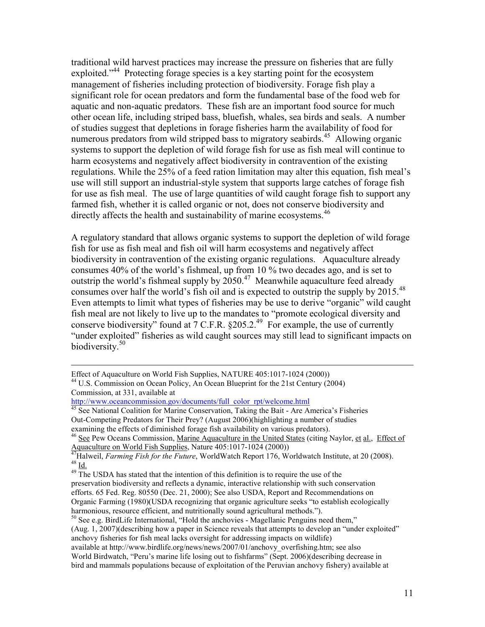traditional wild harvest practices may increase the pressure on fisheries that are fully exploited."<sup>44</sup> Protecting forage species is a key starting point for the ecosystem management of fisheries including protection of biodiversity. Forage fish play a significant role for ocean predators and form the fundamental base of the food web for aquatic and non-aquatic predators. These fish are an important food source for much other ocean life, including striped bass, bluefish, whales, sea birds and seals. A number of studies suggest that depletions in forage fisheries harm the availability of food for numerous predators from wild stripped bass to migratory seabirds.<sup>45</sup> Allowing organic systems to support the depletion of wild forage fish for use as fish meal will continue to harm ecosystems and negatively affect biodiversity in contravention of the existing regulations. While the 25% of a feed ration limitation may alter this equation, fish meal's use will still support an industrial-style system that supports large catches of forage fish for use as fish meal. The use of large quantities of wild caught forage fish to support any farmed fish, whether it is called organic or not, does not conserve biodiversity and directly affects the health and sustainability of marine ecosystems.<sup>46</sup>

A regulatory standard that allows organic systems to support the depletion of wild forage fish for use as fish meal and fish oil will harm ecosystems and negatively affect biodiversity in contravention of the existing organic regulations. Aquaculture already consumes 40% of the world's fishmeal, up from 10 % two decades ago, and is set to outstrip the world's fishmeal supply by  $2050<sup>47</sup>$  Meanwhile aquaculture feed already consumes over half the world's fish oil and is expected to outstrip the supply by 2015.<sup>48</sup> Even attempts to limit what types of fisheries may be use to derive "organic" wild caught fish meal are not likely to live up to the mandates to "promote ecological diversity and conserve biodiversity" found at  $7 \text{ C.F.R. }$  \$205.2.<sup>49</sup> For example, the use of currently "under exploited" fisheries as wild caught sources may still lead to significant impacts on biodiversity.<sup>50</sup>

-

Effect of Aquaculture on World Fish Supplies, NATURE 405:1017-1024 (2000)) <sup>44</sup> U.S. Commission on Ocean Policy, An Ocean Blueprint for the 21st Century (2004) Commission, at 331, available at

http://www.oceancommission.gov/documents/full\_color\_rpt/welcome.html

<sup>&</sup>lt;sup>45</sup> See National Coalition for Marine Conservation, Taking the Bait - Are America's Fisheries Out-Competing Predators for Their Prey? (August 2006)(highlighting a number of studies examining the effects of diminished forage fish availability on various predators).

<sup>&</sup>lt;sup>46</sup> See Pew Oceans Commission, Marine Aquaculture in the United States (citing Naylor, et al., Effect of Aquaculture on World Fish Supplies, Nature 405:1017-1024 (2000))

<sup>47</sup>Halweil, *Farming Fish for the Future*, WorldWatch Report 176, Worldwatch Institute, at 20 (2008).  $48 \underline{\text{Id}}$ .

 $49$  The USDA has stated that the intention of this definition is to require the use of the preservation biodiversity and reflects a dynamic, interactive relationship with such conservation efforts. 65 Fed. Reg. 80550 (Dec. 21, 2000); See also USDA, Report and Recommendations on Organic Farming (1980)(USDA recognizing that organic agriculture seeks "to establish ecologically harmonious, resource efficient, and nutritionally sound agricultural methods.").

 $50$  See e.g. BirdLife International, "Hold the anchovies - Magellanic Penguins need them,"

<sup>(</sup>Aug. 1, 2007)(describing how a paper in Science reveals that attempts to develop an "under exploited" anchovy fisheries for fish meal lacks oversight for addressing impacts on wildlife)

available at http://www.birdlife.org/news/news/2007/01/anchovy\_overfishing.htm; see also

World Birdwatch, "Peru's marine life losing out to fishfarms" (Sept. 2006)(describing decrease in bird and mammals populations because of exploitation of the Peruvian anchovy fishery) available at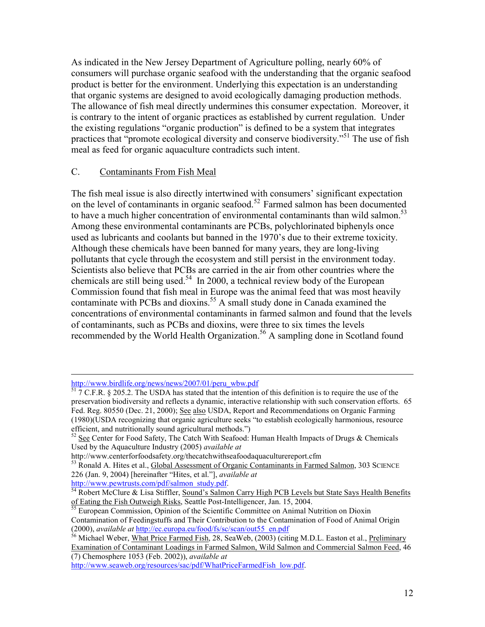As indicated in the New Jersey Department of Agriculture polling, nearly 60% of consumers will purchase organic seafood with the understanding that the organic seafood product is better for the environment. Underlying this expectation is an understanding that organic systems are designed to avoid ecologically damaging production methods. The allowance of fish meal directly undermines this consumer expectation. Moreover, it is contrary to the intent of organic practices as established by current regulation. Under the existing regulations "organic production" is defined to be a system that integrates practices that "promote ecological diversity and conserve biodiversity."<sup>51</sup> The use of fish meal as feed for organic aquaculture contradicts such intent.

#### C. Contaminants From Fish Meal

The fish meal issue is also directly intertwined with consumers' significant expectation on the level of contaminants in organic seafood.<sup>52</sup> Farmed salmon has been documented to have a much higher concentration of environmental contaminants than wild salmon. $^{53}$ Among these environmental contaminants are PCBs, polychlorinated biphenyls once used as lubricants and coolants but banned in the 1970's due to their extreme toxicity. Although these chemicals have been banned for many years, they are long-living pollutants that cycle through the ecosystem and still persist in the environment today. Scientists also believe that PCBs are carried in the air from other countries where the chemicals are still being used.<sup>54</sup> In 2000, a technical review body of the European Commission found that fish meal in Europe was the animal feed that was most heavily contaminate with PCBs and dioxins.<sup>55</sup> A small study done in Canada examined the concentrations of environmental contaminants in farmed salmon and found that the levels of contaminants, such as PCBs and dioxins, were three to six times the levels recommended by the World Health Organization.<sup>56</sup> A sampling done in Scotland found

<u>.</u>

http://www.pewtrusts.com/pdf/salmon\_study.pdf.

(7) Chemosphere 1053 (Feb. 2002)), *available at*

http://www.seaweb.org/resources/sac/pdf/WhatPriceFarmedFish\_low.pdf.

http://www.birdlife.org/news/news/2007/01/peru\_wbw.pdf

 $51$  7 C.F.R. § 205.2. The USDA has stated that the intention of this definition is to require the use of the preservation biodiversity and reflects a dynamic, interactive relationship with such conservation efforts. 65 Fed. Reg. 80550 (Dec. 21, 2000); See also USDA, Report and Recommendations on Organic Farming (1980)(USDA recognizing that organic agriculture seeks "to establish ecologically harmonious, resource efficient, and nutritionally sound agricultural methods.")

 $52$  See Center for Food Safety, The Catch With Seafood: Human Health Impacts of Drugs & Chemicals Used by the Aquaculture Industry (2005) *available at*

http://www.centerforfoodsafety.org/thecatchwithseafoodaquaculturereport.cfm

<sup>&</sup>lt;sup>53</sup> Ronald A. Hites et al., Global Assessment of Organic Contaminants in Farmed Salmon, 303 SCIENCE 226 (Jan. 9, 2004) [hereinafter "Hites, et al."], *available at*

<sup>&</sup>lt;sup>54</sup> Robert McClure & Lisa Stiffler, Sound's Salmon Carry High PCB Levels but State Says Health Benefits of Eating the Fish Outweigh Risks, Seattle Post-Intelligencer, Jan. 15, 2004.

<sup>&</sup>lt;sup>55</sup> European Commission, Opinion of the Scientific Committee on Animal Nutrition on Dioxin Contamination of Feedingstuffs and Their Contribution to the Contamination of Food of Animal Origin (2000), *available at* http://ec.europa.eu/food/fs/sc/scan/out55\_en.pdf

<sup>&</sup>lt;sup>56</sup> Michael Weber, What Price Farmed Fish, 28, SeaWeb, (2003) (citing M.D.L. Easton et al., Preliminary Examination of Contaminant Loadings in Farmed Salmon, Wild Salmon and Commercial Salmon Feed, 46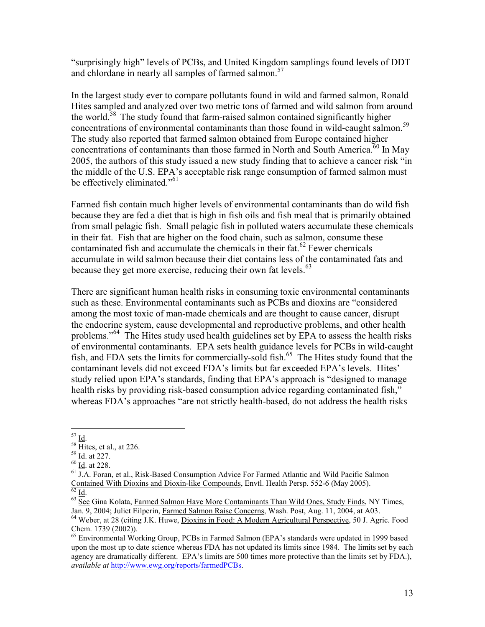"surprisingly high" levels of PCBs, and United Kingdom samplings found levels of DDT and chlordane in nearly all samples of farmed salmon.<sup>57</sup>

In the largest study ever to compare pollutants found in wild and farmed salmon, Ronald Hites sampled and analyzed over two metric tons of farmed and wild salmon from around the world.<sup>58</sup> The study found that farm-raised salmon contained significantly higher concentrations of environmental contaminants than those found in wild-caught salmon.<sup>59</sup> The study also reported that farmed salmon obtained from Europe contained higher concentrations of contaminants than those farmed in North and South America.<sup>60</sup> In May 2005, the authors of this study issued a new study finding that to achieve a cancer risk "in the middle of the U.S. EPA's acceptable risk range consumption of farmed salmon must be effectively eliminated."<sup>61</sup>

Farmed fish contain much higher levels of environmental contaminants than do wild fish because they are fed a diet that is high in fish oils and fish meal that is primarily obtained from small pelagic fish. Small pelagic fish in polluted waters accumulate these chemicals in their fat. Fish that are higher on the food chain, such as salmon, consume these contaminated fish and accumulate the chemicals in their fat.<sup>62</sup> Fewer chemicals accumulate in wild salmon because their diet contains less of the contaminated fats and because they get more exercise, reducing their own fat levels. $63$ 

There are significant human health risks in consuming toxic environmental contaminants such as these. Environmental contaminants such as PCBs and dioxins are "considered among the most toxic of man-made chemicals and are thought to cause cancer, disrupt the endocrine system, cause developmental and reproductive problems, and other health problems."<sup>64</sup> The Hites study used health guidelines set by EPA to assess the health risks of environmental contaminants. EPA sets health guidance levels for PCBs in wild-caught fish, and FDA sets the limits for commercially-sold fish.<sup>65</sup> The Hites study found that the contaminant levels did not exceed FDA's limits but far exceeded EPA's levels. Hites' study relied upon EPA's standards, finding that EPA's approach is "designed to manage health risks by providing risk-based consumption advice regarding contaminated fish," whereas FDA's approaches "are not strictly health-based, do not address the health risks

<sup>&</sup>lt;u>.</u>  $57 \underline{\mathsf{Id}}$ .

 $58 \frac{\text{A}}{\text{Hites}}$ , et al., at 226.

<sup>59</sup> Id. at 227.

 $60$  Id. at 228.

<sup>&</sup>lt;sup>61</sup> J.A. Foran, et al., Risk-Based Consumption Advice For Farmed Atlantic and Wild Pacific Salmon Contained With Dioxins and Dioxin-like Compounds, Envtl. Health Persp. 552-6 (May 2005).  $62 \underline{Id}$ .

<sup>&</sup>lt;sup>63</sup> See Gina Kolata, Farmed Salmon Have More Contaminants Than Wild Ones, Study Finds, NY Times, Jan. 9, 2004; Juliet Eilperin, Farmed Salmon Raise Concerns, Wash. Post, Aug. 11, 2004, at A03.

<sup>&</sup>lt;sup>64</sup> Weber, at 28 (citing J.K. Huwe, Dioxins in Food: A Modern Agricultural Perspective, 50 J. Agric. Food Chem. 1739 (2002)).

<sup>&</sup>lt;sup>65</sup> Environmental Working Group, PCBs in Farmed Salmon (EPA's standards were updated in 1999 based upon the most up to date science whereas FDA has not updated its limits since 1984. The limits set by each agency are dramatically different. EPA's limits are 500 times more protective than the limits set by FDA.), *available at* http://www.ewg.org/reports/farmedPCBs.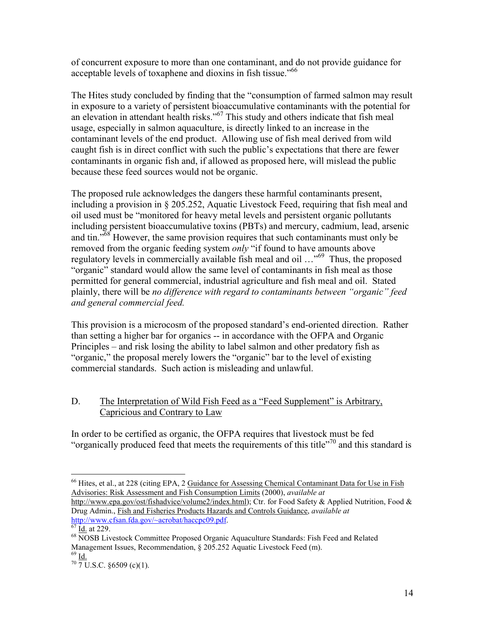of concurrent exposure to more than one contaminant, and do not provide guidance for acceptable levels of toxaphene and dioxins in fish tissue."<sup>66</sup>

The Hites study concluded by finding that the "consumption of farmed salmon may result in exposure to a variety of persistent bioaccumulative contaminants with the potential for an elevation in attendant health risks."<sup>67</sup> This study and others indicate that fish meal usage, especially in salmon aquaculture, is directly linked to an increase in the contaminant levels of the end product. Allowing use of fish meal derived from wild caught fish is in direct conflict with such the public's expectations that there are fewer contaminants in organic fish and, if allowed as proposed here, will mislead the public because these feed sources would not be organic.

The proposed rule acknowledges the dangers these harmful contaminants present, including a provision in § 205.252, Aquatic Livestock Feed, requiring that fish meal and oil used must be "monitored for heavy metal levels and persistent organic pollutants including persistent bioaccumulative toxins (PBTs) and mercury, cadmium, lead, arsenic and tin."<sup>68</sup> However, the same provision requires that such contaminants must only be removed from the organic feeding system *only* "if found to have amounts above regulatory levels in commercially available fish meal and oil …"<sup>69</sup> Thus, the proposed "organic" standard would allow the same level of contaminants in fish meal as those permitted for general commercial, industrial agriculture and fish meal and oil. Stated plainly, there will be *no difference with regard to contaminants between "organic" feed and general commercial feed.*

This provision is a microcosm of the proposed standard's end-oriented direction. Rather than setting a higher bar for organics -- in accordance with the OFPA and Organic Principles – and risk losing the ability to label salmon and other predatory fish as "organic," the proposal merely lowers the "organic" bar to the level of existing commercial standards. Such action is misleading and unlawful.

# D. The Interpretation of Wild Fish Feed as a "Feed Supplement" is Arbitrary, Capricious and Contrary to Law

In order to be certified as organic, the OFPA requires that livestock must be fed "organically produced feed that meets the requirements of this title"<sup>70</sup> and this standard is

http://www.epa.gov/ost/fishadvice/volume2/index.html); Ctr. for Food Safety & Applied Nutrition, Food & Drug Admin., Fish and Fisheries Products Hazards and Controls Guidance, *available at*  http://www.cfsan.fda.gov/~acrobat/haccpc09.pdf.

<sup>-</sup><sup>66</sup> Hites, et al., at 228 (citing EPA, 2 Guidance for Assessing Chemical Contaminant Data for Use in Fish Advisories: Risk Assessment and Fish Consumption Limits (2000), *available at*

 $\overline{67}$  Id. at 229.

<sup>&</sup>lt;sup>68</sup> NOSB Livestock Committee Proposed Organic Aquaculture Standards: Fish Feed and Related Management Issues, Recommendation, § 205.252 Aquatic Livestock Feed (m).

 $69$  Id.

 $70\overline{7}$  U.S.C. §6509 (c)(1).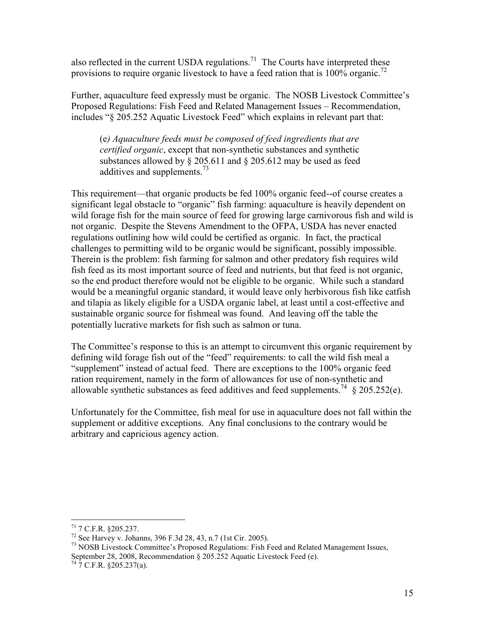also reflected in the current USDA regulations.<sup>71</sup> The Courts have interpreted these provisions to require organic livestock to have a feed ration that is  $100\%$  organic.<sup>72</sup>

Further, aquaculture feed expressly must be organic. The NOSB Livestock Committee's Proposed Regulations: Fish Feed and Related Management Issues – Recommendation, includes "§ 205.252 Aquatic Livestock Feed" which explains in relevant part that:

(e*) Aquaculture feeds must be composed of feed ingredients that are certified organic*, except that non-synthetic substances and synthetic substances allowed by § 205.611 and § 205.612 may be used as feed additives and supplements.<sup>73</sup>

This requirement—that organic products be fed 100% organic feed--of course creates a significant legal obstacle to "organic" fish farming: aquaculture is heavily dependent on wild forage fish for the main source of feed for growing large carnivorous fish and wild is not organic. Despite the Stevens Amendment to the OFPA, USDA has never enacted regulations outlining how wild could be certified as organic. In fact, the practical challenges to permitting wild to be organic would be significant, possibly impossible. Therein is the problem: fish farming for salmon and other predatory fish requires wild fish feed as its most important source of feed and nutrients, but that feed is not organic, so the end product therefore would not be eligible to be organic. While such a standard would be a meaningful organic standard, it would leave only herbivorous fish like catfish and tilapia as likely eligible for a USDA organic label, at least until a cost-effective and sustainable organic source for fishmeal was found. And leaving off the table the potentially lucrative markets for fish such as salmon or tuna.

The Committee's response to this is an attempt to circumvent this organic requirement by defining wild forage fish out of the "feed" requirements: to call the wild fish meal a "supplement" instead of actual feed. There are exceptions to the 100% organic feed ration requirement, namely in the form of allowances for use of non-synthetic and allowable synthetic substances as feed additives and feed supplements.<sup>74</sup>  $\frac{8}{205.252(e)}$ .

Unfortunately for the Committee, fish meal for use in aquaculture does not fall within the supplement or additive exceptions. Any final conclusions to the contrary would be arbitrary and capricious agency action.

<sup>-</sup> $71$  7 C.F.R. §205.237.

<sup>72</sup> See Harvey v. Johanns, 396 F.3d 28, 43, n.7 (1st Cir. 2005).

<sup>&</sup>lt;sup>73</sup> NOSB Livestock Committee's Proposed Regulations: Fish Feed and Related Management Issues, September 28, 2008, Recommendation § 205.252 Aquatic Livestock Feed (e).

 $^{74}$  7 C.F.R. §205.237(a).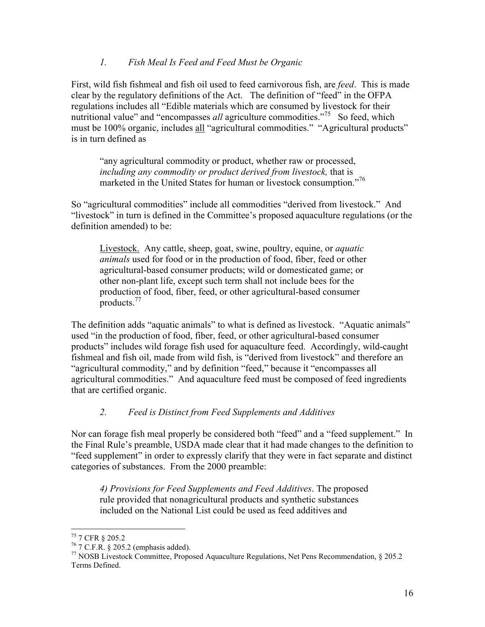### *1. Fish Meal Is Feed and Feed Must be Organic*

First, wild fish fishmeal and fish oil used to feed carnivorous fish, are *feed*. This is made clear by the regulatory definitions of the Act. The definition of "feed" in the OFPA regulations includes all "Edible materials which are consumed by livestock for their nutritional value" and "encompasses *all* agriculture commodities."<sup>75</sup> So feed, which must be 100% organic, includes all "agricultural commodities." "Agricultural products" is in turn defined as

"any agricultural commodity or product, whether raw or processed, *including any commodity or product derived from livestock,* that is marketed in the United States for human or livestock consumption."<sup>76</sup>

So "agricultural commodities" include all commodities "derived from livestock." And "livestock" in turn is defined in the Committee's proposed aquaculture regulations (or the definition amended) to be:

Livestock. Any cattle, sheep, goat, swine, poultry, equine, or *aquatic animals* used for food or in the production of food, fiber, feed or other agricultural-based consumer products; wild or domesticated game; or other non-plant life, except such term shall not include bees for the production of food, fiber, feed, or other agricultural-based consumer products.<sup>77</sup>

The definition adds "aquatic animals" to what is defined as livestock. "Aquatic animals" used "in the production of food, fiber, feed, or other agricultural-based consumer products" includes wild forage fish used for aquaculture feed. Accordingly, wild-caught fishmeal and fish oil, made from wild fish, is "derived from livestock" and therefore an "agricultural commodity," and by definition "feed," because it "encompasses all agricultural commodities." And aquaculture feed must be composed of feed ingredients that are certified organic.

## *2. Feed is Distinct from Feed Supplements and Additives*

Nor can forage fish meal properly be considered both "feed" and a "feed supplement." In the Final Rule's preamble, USDA made clear that it had made changes to the definition to "feed supplement" in order to expressly clarify that they were in fact separate and distinct categories of substances. From the 2000 preamble:

*4) Provisions for Feed Supplements and Feed Additives*. The proposed rule provided that nonagricultural products and synthetic substances included on the National List could be used as feed additives and

 $\overline{a}$ <sup>75</sup> 7 CFR § 205.2

 $76$  7 C.F.R. § 205.2 (emphasis added).

<sup>&</sup>lt;sup>77</sup> NOSB Livestock Committee, Proposed Aquaculture Regulations, Net Pens Recommendation, § 205.2 Terms Defined.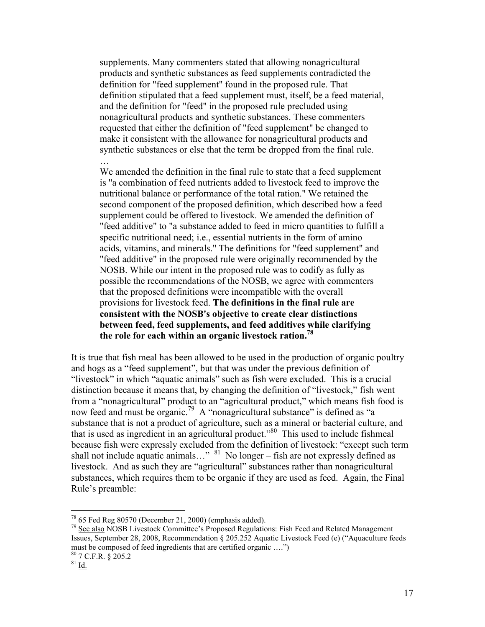supplements. Many commenters stated that allowing nonagricultural products and synthetic substances as feed supplements contradicted the definition for "feed supplement" found in the proposed rule. That definition stipulated that a feed supplement must, itself, be a feed material, and the definition for "feed" in the proposed rule precluded using nonagricultural products and synthetic substances. These commenters requested that either the definition of "feed supplement" be changed to make it consistent with the allowance for nonagricultural products and synthetic substances or else that the term be dropped from the final rule.

We amended the definition in the final rule to state that a feed supplement is "a combination of feed nutrients added to livestock feed to improve the nutritional balance or performance of the total ration." We retained the second component of the proposed definition, which described how a feed supplement could be offered to livestock. We amended the definition of "feed additive" to "a substance added to feed in micro quantities to fulfill a specific nutritional need; i.e., essential nutrients in the form of amino acids, vitamins, and minerals." The definitions for "feed supplement" and "feed additive" in the proposed rule were originally recommended by the NOSB. While our intent in the proposed rule was to codify as fully as possible the recommendations of the NOSB, we agree with commenters that the proposed definitions were incompatible with the overall provisions for livestock feed. **The definitions in the final rule are consistent with the OSB's objective to create clear distinctions between feed, feed supplements, and feed additives while clarifying the role for each within an organic livestock ration.<sup>78</sup>**

It is true that fish meal has been allowed to be used in the production of organic poultry and hogs as a "feed supplement", but that was under the previous definition of "livestock" in which "aquatic animals" such as fish were excluded. This is a crucial distinction because it means that, by changing the definition of "livestock," fish went from a "nonagricultural" product to an "agricultural product," which means fish food is now feed and must be organic.<sup>79</sup> A "nonagricultural substance" is defined as "a substance that is not a product of agriculture, such as a mineral or bacterial culture, and that is used as ingredient in an agricultural product."<sup>80</sup> This used to include fishmeal because fish were expressly excluded from the definition of livestock: "except such term shall not include aquatic animals..."  $81$  No longer – fish are not expressly defined as livestock. And as such they are "agricultural" substances rather than nonagricultural substances, which requires them to be organic if they are used as feed. Again, the Final Rule's preamble:

…

 $\overline{a}$ 

 $78$  65 Fed Reg 80570 (December 21, 2000) (emphasis added).

<sup>&</sup>lt;sup>79</sup> See also NOSB Livestock Committee's Proposed Regulations: Fish Feed and Related Management Issues, September 28, 2008, Recommendation § 205.252 Aquatic Livestock Feed (e) ("Aquaculture feeds must be composed of feed ingredients that are certified organic ….") <sup>80</sup> 7 C.F.R. § 205.2

 $81 \underline{\mathsf{Id}}$ .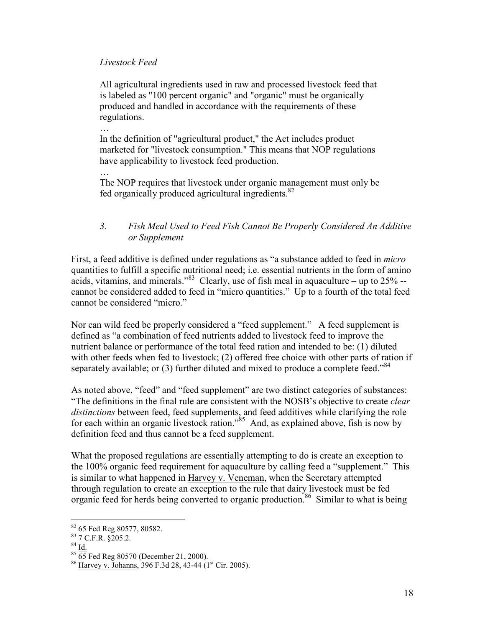### *Livestock Feed*

All agricultural ingredients used in raw and processed livestock feed that is labeled as "100 percent organic" and "organic" must be organically produced and handled in accordance with the requirements of these regulations.

In the definition of "agricultural product," the Act includes product marketed for "livestock consumption." This means that NOP regulations have applicability to livestock feed production.

…

…

The NOP requires that livestock under organic management must only be fed organically produced agricultural ingredients.<sup>82</sup>

# *3. Fish Meal Used to Feed Fish Cannot Be Properly Considered An Additive or Supplement*

First, a feed additive is defined under regulations as "a substance added to feed in *micro* quantities to fulfill a specific nutritional need; i.e. essential nutrients in the form of amino acids, vitamins, and minerals."<sup>83</sup> Clearly, use of fish meal in aquaculture – up to  $25\%$  -cannot be considered added to feed in "micro quantities." Up to a fourth of the total feed cannot be considered "micro."

Nor can wild feed be properly considered a "feed supplement." A feed supplement is defined as "a combination of feed nutrients added to livestock feed to improve the nutrient balance or performance of the total feed ration and intended to be: (1) diluted with other feeds when fed to livestock; (2) offered free choice with other parts of ration if separately available; or  $(3)$  further diluted and mixed to produce a complete feed."<sup>84</sup>

As noted above, "feed" and "feed supplement" are two distinct categories of substances: "The definitions in the final rule are consistent with the NOSB's objective to create *clear distinctions* between feed, feed supplements, and feed additives while clarifying the role for each within an organic livestock ration."<sup>85</sup> And, as explained above, fish is now by definition feed and thus cannot be a feed supplement.

What the proposed regulations are essentially attempting to do is create an exception to the 100% organic feed requirement for aquaculture by calling feed a "supplement." This is similar to what happened in Harvey v. Veneman, when the Secretary attempted through regulation to create an exception to the rule that dairy livestock must be fed organic feed for herds being converted to organic production.<sup>86</sup> Similar to what is being

 $\overline{a}$ 

<sup>&</sup>lt;sup>82</sup> 65 Fed Reg 80577, 80582.

<sup>83</sup> 7 C.F.R. §205.2.

<sup>84</sup> Id.

 $85\overline{65}$  Fed Reg 80570 (December 21, 2000).

<sup>&</sup>lt;sup>86</sup> Harvey v. Johanns, 396 F.3d 28, 43-44 (1<sup>st</sup> Cir. 2005).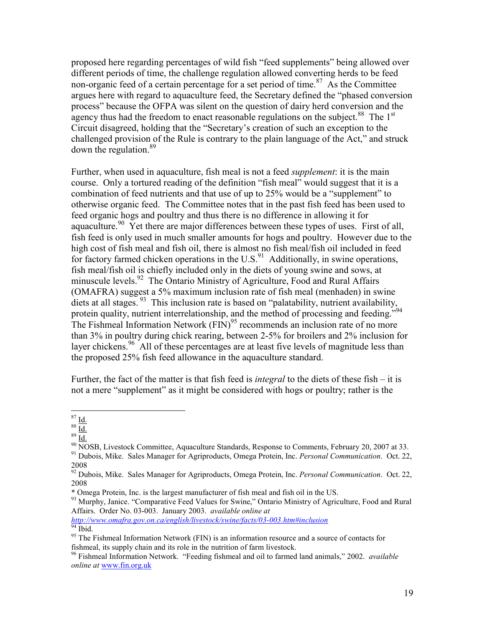proposed here regarding percentages of wild fish "feed supplements" being allowed over different periods of time, the challenge regulation allowed converting herds to be feed non-organic feed of a certain percentage for a set period of time.<sup>87</sup> As the Committee argues here with regard to aquaculture feed, the Secretary defined the "phased conversion process" because the OFPA was silent on the question of dairy herd conversion and the agency thus had the freedom to enact reasonable regulations on the subject.<sup>88</sup> The  $1<sup>st</sup>$ Circuit disagreed, holding that the "Secretary's creation of such an exception to the challenged provision of the Rule is contrary to the plain language of the Act," and struck down the regulation.<sup>89</sup>

Further, when used in aquaculture, fish meal is not a feed *supplement*: it is the main course. Only a tortured reading of the definition "fish meal" would suggest that it is a combination of feed nutrients and that use of up to 25% would be a "supplement" to otherwise organic feed. The Committee notes that in the past fish feed has been used to feed organic hogs and poultry and thus there is no difference in allowing it for aquaculture.<sup>90</sup> Yet there are major differences between these types of uses. First of all, fish feed is only used in much smaller amounts for hogs and poultry. However due to the high cost of fish meal and fish oil, there is almost no fish meal/fish oil included in feed for factory farmed chicken operations in the  $U.S.<sup>91</sup>$  Additionally, in swine operations, fish meal/fish oil is chiefly included only in the diets of young swine and sows, at minuscule levels.<sup>92</sup> The Ontario Ministry of Agriculture, Food and Rural Affairs (OMAFRA) suggest a 5% maximum inclusion rate of fish meal (menhaden) in swine diets at all stages.  $93$  This inclusion rate is based on "palatability, nutrient availability, protein quality, nutrient interrelationship, and the method of processing and feeding."<sup>94</sup> The Fishmeal Information Network  $(FIN)^{95}$  recommends an inclusion rate of no more than 3% in poultry during chick rearing, between 2-5% for broilers and 2% inclusion for layer chickens.<sup>96</sup> All of these percentages are at least five levels of magnitude less than the proposed 25% fish feed allowance in the aquaculture standard.

Further, the fact of the matter is that fish feed is *integral* to the diets of these fish – it is not a mere "supplement" as it might be considered with hogs or poultry; rather is the

*http://www.omafra.gov.on.ca/english/livestock/swine/facts/03-003.htm#inclusion*  $94$  Ibid.

<sup>-</sup> $87 \underline{\mathsf{Id}}$ .

 $88 \overline{\underline{Id.}}$ 

 $89 \overline{1d}$ .

 $\frac{90}{100}$  NOSB, Livestock Committee, Aquaculture Standards, Response to Comments, February 20, 2007 at 33. <sup>91</sup> Dubois, Mike. Sales Manager for Agriproducts, Omega Protein, Inc. *Personal Communication*. Oct. 22, 2008

<sup>92</sup> Dubois, Mike. Sales Manager for Agriproducts, Omega Protein, Inc. *Personal Communication*. Oct. 22, 2008

<sup>\*</sup> Omega Protein, Inc. is the largest manufacturer of fish meal and fish oil in the US.

<sup>&</sup>lt;sup>93</sup> Murphy, Janice. "Comparative Feed Values for Swine," Ontario Ministry of Agriculture, Food and Rural Affairs. Order No. 03-003. January 2003. *available online at* 

<sup>&</sup>lt;sup>95</sup> The Fishmeal Information Network (FIN) is an information resource and a source of contacts for fishmeal, its supply chain and its role in the nutrition of farm livestock.

<sup>96</sup> Fishmeal Information Network. "Feeding fishmeal and oil to farmed land animals," 2002. *available online at* www.fin.org.uk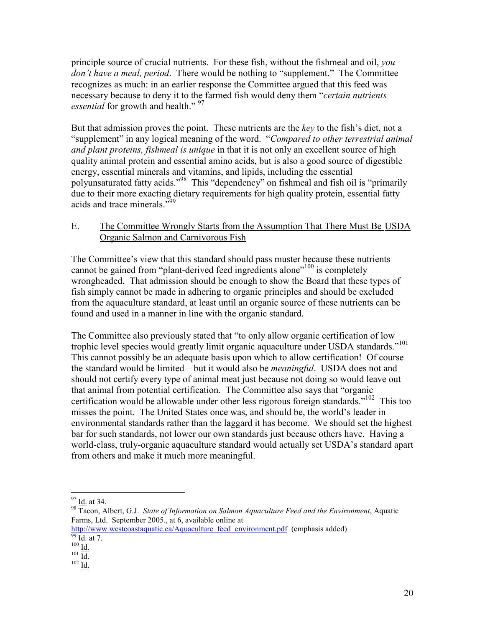principle source of crucial nutrients. For these fish, without the fishmeal and oil, *you don't have a meal, period*. There would be nothing to "supplement." The Committee recognizes as much: in an earlier response the Committee argued that this feed was necessary because to deny it to the farmed fish would deny them "*certain nutrients essential* for growth and health."<sup>97</sup>

But that admission proves the point. These nutrients are the *key* to the fish's diet, not a "supplement" in any logical meaning of the word. "*Compared to other terrestrial animal and plant proteins, fishmeal is unique* in that it is not only an excellent source of high quality animal protein and essential amino acids, but is also a good source of digestible energy, essential minerals and vitamins, and lipids, including the essential polyunsaturated fatty acids."<sup>98</sup> This "dependency" on fishmeal and fish oil is "primarily due to their more exacting dietary requirements for high quality protein, essential fatty acids and trace minerals."<sup>99</sup>

### E. The Committee Wrongly Starts from the Assumption That There Must Be USDA Organic Salmon and Carnivorous Fish

The Committee's view that this standard should pass muster because these nutrients cannot be gained from "plant-derived feed ingredients alone"<sup>100</sup> is completely wrongheaded. That admission should be enough to show the Board that these types of fish simply cannot be made in adhering to organic principles and should be excluded from the aquaculture standard, at least until an organic source of these nutrients can be found and used in a manner in line with the organic standard.

The Committee also previously stated that "to only allow organic certification of low trophic level species would greatly limit organic aquaculture under USDA standards."<sup>101</sup> This cannot possibly be an adequate basis upon which to allow certification! Of course the standard would be limited – but it would also be *meaningful*. USDA does not and should not certify every type of animal meat just because not doing so would leave out that animal from potential certification. The Committee also says that "organic certification would be allowable under other less rigorous foreign standards."<sup>102</sup> This too misses the point. The United States once was, and should be, the world's leader in environmental standards rather than the laggard it has become. We should set the highest bar for such standards, not lower our own standards just because others have. Having a world-class, truly-organic aquaculture standard would actually set USDA's standard apart from others and make it much more meaningful.

-

http://www.westcoastaquatic.ca/Aquaculture feed environment.pdf (emphasis added)

 $102 \underline{\overline{Id}}$ .

<sup>&</sup>lt;sup>97</sup> Id. at 34.

<sup>98</sup> Tacon, Albert, G.J. *State of Information on Salmon Aquaculture Feed and the Environment*, Aquatic Farms, Ltd. September 2005., at 6, available online at

 $\frac{39}{99}$  <u>Id.</u> at 7.  $100 \frac{1}{\text{Id}}$ .

 $\frac{1}{101}$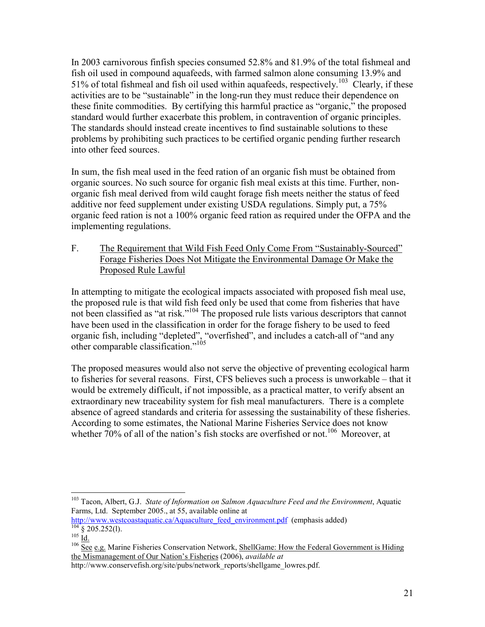In 2003 carnivorous finfish species consumed 52.8% and 81.9% of the total fishmeal and fish oil used in compound aquafeeds, with farmed salmon alone consuming 13.9% and 51% of total fishmeal and fish oil used within aquafeeds, respectively.<sup>103</sup> Clearly, if these activities are to be "sustainable" in the long-run they must reduce their dependence on these finite commodities. By certifying this harmful practice as "organic," the proposed standard would further exacerbate this problem, in contravention of organic principles. The standards should instead create incentives to find sustainable solutions to these problems by prohibiting such practices to be certified organic pending further research into other feed sources.

In sum, the fish meal used in the feed ration of an organic fish must be obtained from organic sources. No such source for organic fish meal exists at this time. Further, nonorganic fish meal derived from wild caught forage fish meets neither the status of feed additive nor feed supplement under existing USDA regulations. Simply put, a 75% organic feed ration is not a 100% organic feed ration as required under the OFPA and the implementing regulations.

F. The Requirement that Wild Fish Feed Only Come From "Sustainably-Sourced" Forage Fisheries Does Not Mitigate the Environmental Damage Or Make the Proposed Rule Lawful

In attempting to mitigate the ecological impacts associated with proposed fish meal use, the proposed rule is that wild fish feed only be used that come from fisheries that have not been classified as "at risk."<sup>104</sup> The proposed rule lists various descriptors that cannot have been used in the classification in order for the forage fishery to be used to feed organic fish, including "depleted", "overfished", and includes a catch-all of "and any other comparable classification."<sup>105</sup>

The proposed measures would also not serve the objective of preventing ecological harm to fisheries for several reasons. First, CFS believes such a process is unworkable – that it would be extremely difficult, if not impossible, as a practical matter, to verify absent an extraordinary new traceability system for fish meal manufacturers. There is a complete absence of agreed standards and criteria for assessing the sustainability of these fisheries. According to some estimates, the National Marine Fisheries Service does not know whether 70% of all of the nation's fish stocks are overfished or not.<sup>106</sup> Moreover, at

 $\overline{a}$ <sup>103</sup> Tacon, Albert, G.J. *State of Information on Salmon Aquaculture Feed and the Environment*, Aquatic Farms, Ltd. September 2005., at 55, available online at

http://www.westcoastaquatic.ca/Aquaculture feed environment.pdf (emphasis added)  $^{104}$  § 205.252(1).

 $^{105}$  Id.

<sup>&</sup>lt;sup>106</sup> See e.g. Marine Fisheries Conservation Network, ShellGame: How the Federal Government is Hiding the Mismanagement of Our Nation's Fisheries (2006), *available at* 

http://www.conservefish.org/site/pubs/network\_reports/shellgame\_lowres.pdf.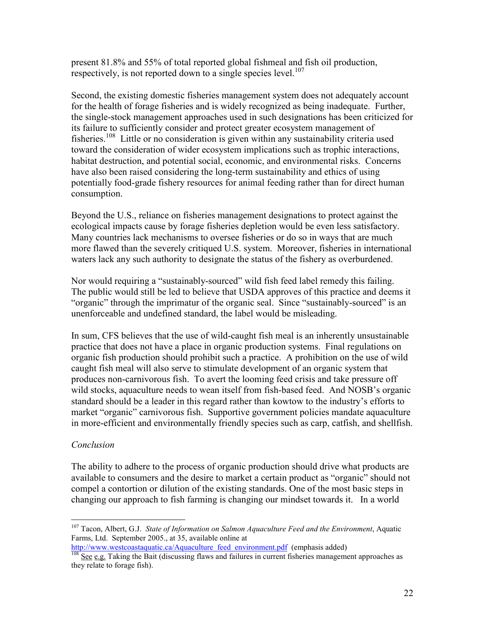present 81.8% and 55% of total reported global fishmeal and fish oil production, respectively, is not reported down to a single species level.<sup>107</sup>

Second, the existing domestic fisheries management system does not adequately account for the health of forage fisheries and is widely recognized as being inadequate. Further, the single-stock management approaches used in such designations has been criticized for its failure to sufficiently consider and protect greater ecosystem management of fisheries.<sup>108</sup> Little or no consideration is given within any sustainability criteria used toward the consideration of wider ecosystem implications such as trophic interactions, habitat destruction, and potential social, economic, and environmental risks. Concerns have also been raised considering the long-term sustainability and ethics of using potentially food-grade fishery resources for animal feeding rather than for direct human consumption.

Beyond the U.S., reliance on fisheries management designations to protect against the ecological impacts cause by forage fisheries depletion would be even less satisfactory. Many countries lack mechanisms to oversee fisheries or do so in ways that are much more flawed than the severely critiqued U.S. system. Moreover, fisheries in international waters lack any such authority to designate the status of the fishery as overburdened.

Nor would requiring a "sustainably-sourced" wild fish feed label remedy this failing. The public would still be led to believe that USDA approves of this practice and deems it "organic" through the imprimatur of the organic seal. Since "sustainably-sourced" is an unenforceable and undefined standard, the label would be misleading.

In sum, CFS believes that the use of wild-caught fish meal is an inherently unsustainable practice that does not have a place in organic production systems. Final regulations on organic fish production should prohibit such a practice. A prohibition on the use of wild caught fish meal will also serve to stimulate development of an organic system that produces non-carnivorous fish. To avert the looming feed crisis and take pressure off wild stocks, aquaculture needs to wean itself from fish-based feed. And NOSB's organic standard should be a leader in this regard rather than kowtow to the industry's efforts to market "organic" carnivorous fish. Supportive government policies mandate aquaculture in more-efficient and environmentally friendly species such as carp, catfish, and shellfish.

## *Conclusion*

-

The ability to adhere to the process of organic production should drive what products are available to consumers and the desire to market a certain product as "organic" should not compel a contortion or dilution of the existing standards. One of the most basic steps in changing our approach to fish farming is changing our mindset towards it. In a world

<sup>107</sup> Tacon, Albert, G.J. *State of Information on Salmon Aquaculture Feed and the Environment*, Aquatic Farms, Ltd. September 2005., at 35, available online at

http://www.westcoastaquatic.ca/Aquaculture feed environment.pdf (emphasis added)

<sup>&</sup>lt;sup>108</sup> See e.g. Taking the Bait (discussing flaws and failures in current fisheries management approaches as they relate to forage fish).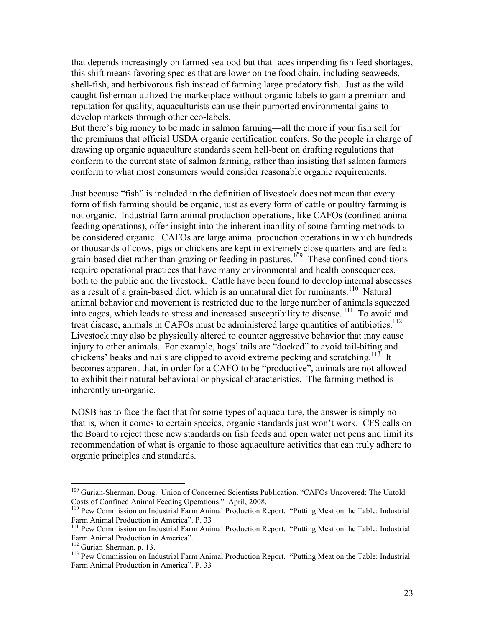that depends increasingly on farmed seafood but that faces impending fish feed shortages, this shift means favoring species that are lower on the food chain, including seaweeds, shell-fish, and herbivorous fish instead of farming large predatory fish. Just as the wild caught fisherman utilized the marketplace without organic labels to gain a premium and reputation for quality, aquaculturists can use their purported environmental gains to develop markets through other eco-labels.

But there's big money to be made in salmon farming—all the more if your fish sell for the premiums that official USDA organic certification confers. So the people in charge of drawing up organic aquaculture standards seem hell-bent on drafting regulations that conform to the current state of salmon farming, rather than insisting that salmon farmers conform to what most consumers would consider reasonable organic requirements.

Just because "fish" is included in the definition of livestock does not mean that every form of fish farming should be organic, just as every form of cattle or poultry farming is not organic. Industrial farm animal production operations, like CAFOs (confined animal feeding operations), offer insight into the inherent inability of some farming methods to be considered organic. CAFOs are large animal production operations in which hundreds or thousands of cows, pigs or chickens are kept in extremely close quarters and are fed a grain-based diet rather than grazing or feeding in pastures.<sup>109</sup> These confined conditions require operational practices that have many environmental and health consequences, both to the public and the livestock. Cattle have been found to develop internal abscesses as a result of a grain-based diet, which is an unnatural diet for ruminants.<sup>110</sup> Natural animal behavior and movement is restricted due to the large number of animals squeezed into cages, which leads to stress and increased susceptibility to disease.<sup>111</sup> To avoid and treat disease, animals in CAFOs must be administered large quantities of antibiotics.<sup>112</sup> Livestock may also be physically altered to counter aggressive behavior that may cause injury to other animals. For example, hogs' tails are "docked" to avoid tail-biting and chickens' beaks and nails are clipped to avoid extreme pecking and scratching.<sup>113</sup> It becomes apparent that, in order for a CAFO to be "productive", animals are not allowed to exhibit their natural behavioral or physical characteristics. The farming method is inherently un-organic.

NOSB has to face the fact that for some types of aquaculture, the answer is simply no that is, when it comes to certain species, organic standards just won't work. CFS calls on the Board to reject these new standards on fish feeds and open water net pens and limit its recommendation of what is organic to those aquaculture activities that can truly adhere to organic principles and standards.

<u>.</u>

<sup>&</sup>lt;sup>109</sup> Gurian-Sherman, Doug. Union of Concerned Scientists Publication. "CAFOs Uncovered: The Untold Costs of Confined Animal Feeding Operations." April, 2008.

<sup>110</sup> Pew Commission on Industrial Farm Animal Production Report. "Putting Meat on the Table: Industrial Farm Animal Production in America". P. 33

<sup>&</sup>lt;sup>111</sup> Pew Commission on Industrial Farm Animal Production Report. "Putting Meat on the Table: Industrial Farm Animal Production in America".

<sup>112</sup> Gurian-Sherman, p. 13.

<sup>&</sup>lt;sup>113</sup> Pew Commission on Industrial Farm Animal Production Report. "Putting Meat on the Table: Industrial Farm Animal Production in America". P. 33